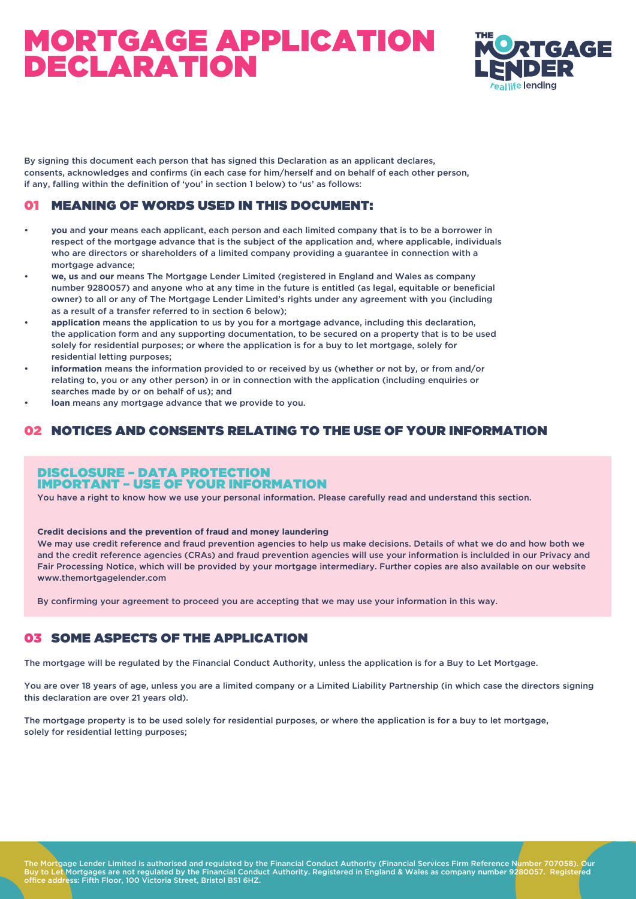

By signing this document each person that has signed this Declaration as an applicant declares, consents, acknowledges and confirms (in each case for him/herself and on behalf of each other person, if any, falling within the definition of 'you' in section 1 below) to 'us' as follows:

### 01 MEANING OF WORDS USED IN THIS DOCUMENT:

- **you** and **your** means each applicant, each person and each limited company that is to be a borrower in respect of the mortgage advance that is the subject of the application and, where applicable, individuals who are directors or shareholders of a limited company providing a guarantee in connection with a mortgage advance;
- **we, us** and **our** means The Mortgage Lender Limited (registered in England and Wales as company number 9280057) and anyone who at any time in the future is entitled (as legal, equitable or beneficial owner) to all or any of The Mortgage Lender Limited's rights under any agreement with you (including as a result of a transfer referred to in section 6 below);
- **application** means the application to us by you for a mortgage advance, including this declaration, the application form and any supporting documentation, to be secured on a property that is to be used solely for residential purposes; or where the application is for a buy to let mortgage, solely for residential letting purposes;
- **information** means the information provided to or received by us (whether or not by, or from and/or relating to, you or any other person) in or in connection with the application (including enquiries or searches made by or on behalf of us); and
- **loan** means any mortgage advance that we provide to you.

#### 02 NOTICES AND CONSENTS RELATING TO THE USE OF YOUR INFORMATION

#### DISCLOSURE – DATA PROTECTION IMPORTANT – USE OF YOUR INFORMATION

You have a right to know how we use your personal information. Please carefully read and understand this section.

**Credit decisions and the prevention of fraud and money laundering**

We may use credit reference and fraud prevention agencies to help us make decisions. Details of what we do and how both we and the credit reference agencies (CRAs) and fraud prevention agencies will use your information is inclulded in our Privacy and Fair Processing Notice, which will be provided by your mortgage intermediary. Further copies are also available on our website www.themortgagelender.com

By confirming your agreement to proceed you are accepting that we may use your information in this way.

#### 03 SOME ASPECTS OF THE APPLICATION

The mortgage will be regulated by the Financial Conduct Authority, unless the application is for a Buy to Let Mortgage.

You are over 18 years of age, unless you are a limited company or a Limited Liability Partnership (in which case the directors signing this declaration are over 21 years old).

The mortgage property is to be used solely for residential purposes, or where the application is for a buy to let mortgage, solely for residential letting purposes;

The Mortgage Lender Limited is authorised and regulated by the Financial Conduct Authority (Financial Services Firm Reference Number 707058). Our Buy to Let Mortgages are not regulated by the Financial Conduct Authority. Registered in England & Wales as company number 9280057. Registered office address: Fifth Floor, 100 Victoria Street, Bristol BS1 6HZ.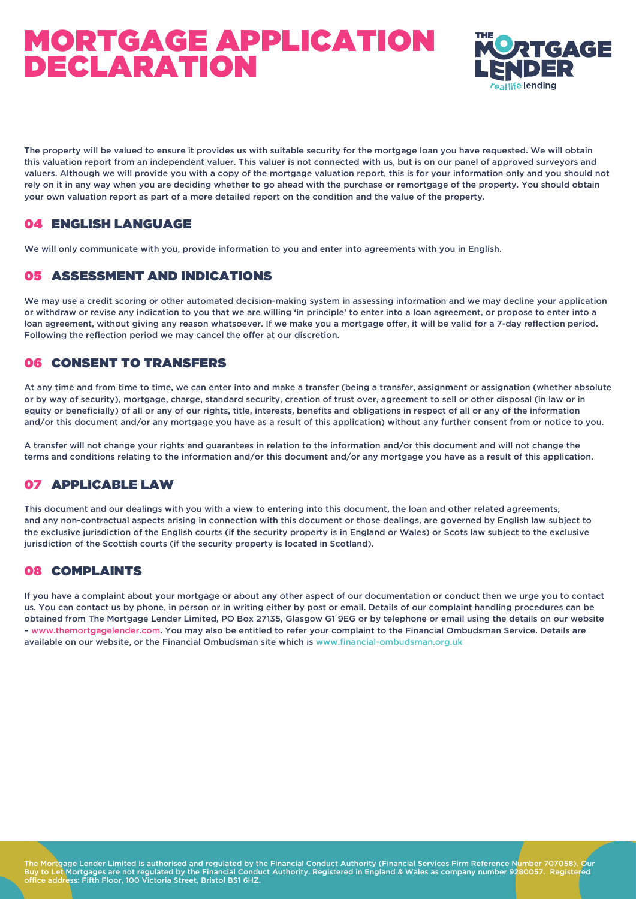

The property will be valued to ensure it provides us with suitable security for the mortgage loan you have requested. We will obtain this valuation report from an independent valuer. This valuer is not connected with us, but is on our panel of approved surveyors and valuers. Although we will provide you with a copy of the mortgage valuation report, this is for your information only and you should not rely on it in any way when you are deciding whether to go ahead with the purchase or remortgage of the property. You should obtain your own valuation report as part of a more detailed report on the condition and the value of the property.

### 04 ENGLISH LANGUAGE

We will only communicate with you, provide information to you and enter into agreements with you in English.

#### 05 ASSESSMENT AND INDICATIONS

We may use a credit scoring or other automated decision-making system in assessing information and we may decline your application or withdraw or revise any indication to you that we are willing 'in principle' to enter into a loan agreement, or propose to enter into a loan agreement, without giving any reason whatsoever. If we make you a mortgage offer, it will be valid for a 7-day reflection period. Following the reflection period we may cancel the offer at our discretion.

#### 06 CONSENT TO TRANSFERS

At any time and from time to time, we can enter into and make a transfer (being a transfer, assignment or assignation (whether absolute or by way of security), mortgage, charge, standard security, creation of trust over, agreement to sell or other disposal (in law or in equity or beneficially) of all or any of our rights, title, interests, benefits and obligations in respect of all or any of the information and/or this document and/or any mortgage you have as a result of this application) without any further consent from or notice to you.

A transfer will not change your rights and guarantees in relation to the information and/or this document and will not change the terms and conditions relating to the information and/or this document and/or any mortgage you have as a result of this application.

#### 07 APPLICABLE LAW

This document and our dealings with you with a view to entering into this document, the loan and other related agreements, and any non-contractual aspects arising in connection with this document or those dealings, are governed by English law subject to the exclusive jurisdiction of the English courts (if the security property is in England or Wales) or Scots law subject to the exclusive jurisdiction of the Scottish courts (if the security property is located in Scotland).

#### 08 COMPLAINTS

If you have a complaint about your mortgage or about any other aspect of our documentation or conduct then we urge you to contact us. You can contact us by phone, in person or in writing either by post or email. Details of our complaint handling procedures can be obtained from The Mortgage Lender Limited, PO Box 27135, Glasgow G1 9EG or by telephone or email using the details on our website – www.themortgagelender.com. You may also be entitled to refer your complaint to the Financial Ombudsman Service. Details are available on our website, or the Financial Ombudsman site which is www.financial-ombudsman.org.uk

The Mortgage Lender Limited is authorised and regulated by the Financial Conduct Authority (Financial Services Firm Reference Number 707058). Our Buy to Let Mortgages are not regulated by the Financial Conduct Authority. Registered in England & Wales as company number 9280057. Registered office address: Fifth Floor, 100 Victoria Street, Bristol BS1 6HZ.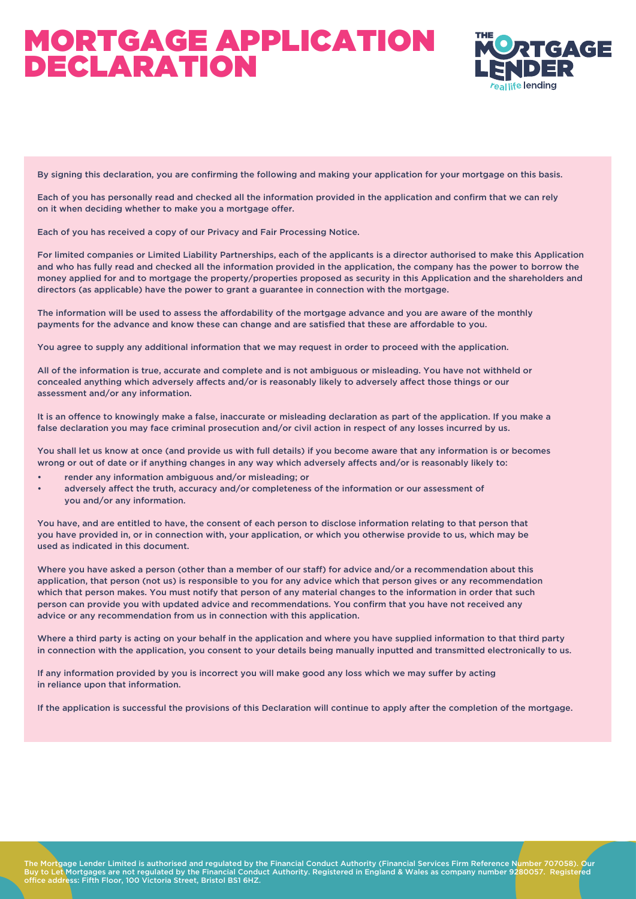

By signing this declaration, you are confirming the following and making your application for your mortgage on this basis.

Each of you has personally read and checked all the information provided in the application and confirm that we can rely on it when deciding whether to make you a mortgage offer.

Each of you has received a copy of our Privacy and Fair Processing Notice.

For limited companies or Limited Liability Partnerships, each of the applicants is a director authorised to make this Application and who has fully read and checked all the information provided in the application, the company has the power to borrow the money applied for and to mortgage the property/properties proposed as security in this Application and the shareholders and directors (as applicable) have the power to grant a guarantee in connection with the mortgage.

The information will be used to assess the affordability of the mortgage advance and you are aware of the monthly payments for the advance and know these can change and are satisfied that these are affordable to you.

You agree to supply any additional information that we may request in order to proceed with the application.

All of the information is true, accurate and complete and is not ambiguous or misleading. You have not withheld or concealed anything which adversely affects and/or is reasonably likely to adversely affect those things or our assessment and/or any information.

It is an offence to knowingly make a false, inaccurate or misleading declaration as part of the application. If you make a false declaration you may face criminal prosecution and/or civil action in respect of any losses incurred by us.

You shall let us know at once (and provide us with full details) if you become aware that any information is or becomes wrong or out of date or if anything changes in any way which adversely affects and/or is reasonably likely to:

- render any information ambiguous and/or misleading; or
- adversely affect the truth, accuracy and/or completeness of the information or our assessment of you and/or any information.

You have, and are entitled to have, the consent of each person to disclose information relating to that person that you have provided in, or in connection with, your application, or which you otherwise provide to us, which may be used as indicated in this document.

Where you have asked a person (other than a member of our staff) for advice and/or a recommendation about this application, that person (not us) is responsible to you for any advice which that person gives or any recommendation which that person makes. You must notify that person of any material changes to the information in order that such person can provide you with updated advice and recommendations. You confirm that you have not received any advice or any recommendation from us in connection with this application.

Where a third party is acting on your behalf in the application and where you have supplied information to that third party in connection with the application, you consent to your details being manually inputted and transmitted electronically to us.

If any information provided by you is incorrect you will make good any loss which we may suffer by acting in reliance upon that information.

If the application is successful the provisions of this Declaration will continue to apply after the completion of the mortgage.

The Mortgage Lender Limited is authorised and regulated by the Financial Conduct Authority (Financial Services Firm Reference Number 707058). Our Buy to Let Mortgages are not regulated by the Financial Conduct Authority. Registered in England & Wales as company number 9280057. Registered office address: Fifth Floor, 100 Victoria Street, Bristol BS1 6HZ.